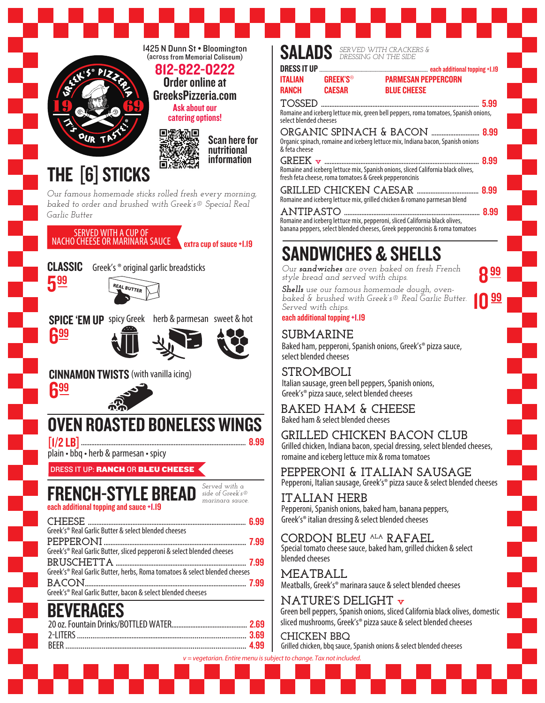

## SALADS *SERVED WITH CRACKERS & DRESSING ON THE SIDE*

| ITALIAN | <b>GREEK'S<sup>®</sup></b> |
|---------|----------------------------|
| RANCH   | <b>CAESAR</b>              |

PARMESAN PEPPERCORN

**BLUE CHEESE** 

**TOSSED ............................................................................................** 5.99 Romaine and iceberg lettuce mix, green bell peppers, roma tomatoes, Spanish onions, select blended cheeses

**each additional topping +1.19** 

8

10

**ORGANIC SPINACH & BACON ............................** 8.99 Organic spinach, romaine and iceberg lettuce mix, Indiana bacon, Spanish onions & feta cheese

**GREEK v ..........................................................................................** 8.99 Romaine and iceberg lettuce mix, Spanish onions, sliced California black olives, fresh feta cheese, roma tomatoes & Greek pepperoncinis

**GRILLED CHICKEN CAESAR ....................................** 8.99 Romaine and iceberg lettuce mix, grilled chicken & romano parmesan blend

**ANTIPASTO ...............................................................................** 8.99 Romaine and iceberg lettuce mix, pepperoni, sliced California black olives, banana peppers, select blended cheeses, Greek pepperoncinis & roma tomatoes

# SANDWICHES & SHELLS

*Our sandwiches are oven baked on fresh French style bread and served with chips.*

*Shells use our famous homemade dough, ovenbaked & brushed with Greek's® Real Garlic Butter. Served with chips.*

each additional topping +1.19

### **SUBMARINE**

Baked ham, pepperoni, Spanish onions, Greek's® pizza sauce, select blended cheeses

#### **STROMBOLI**

Italian sausage, green bell peppers, Spanish onions, Greek's® pizza sauce, select blended cheeses

#### Baked ham & select blended cheeses **BAKED HAM & CHEESE**

**GRILLED CHICKEN BACON CLUB**

Grilled chicken, Indiana bacon, special dressing, select blended cheeses, romaine and iceberg lettuce mix & roma tomatoes

Pepperoni, Italian sausage, Greek's® pizza sauce & select blended cheeses **PEPPERONI & ITALIAN SAUSAGE**

**ITALIAN HERB** Pepperoni, Spanish onions, baked ham, banana peppers, Greek's® italian dressing & select blended cheeses

Special tomato cheese sauce, baked ham, grilled chicken & select blended cheeses **CORDON BLEU ALA RAFAEL**

Meatballs, Greek's® marinara sauce & select blended cheeses **MEATBALL**

Green bell peppers, Spanish onions, sliced California black olives, domestic sliced mushrooms, Greek's® pizza sauce & select blended cheeses **NATURE'S DELIGHT v**

*v = vegetarian. Entire menu is subject to change. Tax not included.*  Grilled chicken, bbq sauce, Spanish onions & select blended cheeses **CHICKEN BBQ** 

| Greek's® Real Garlic Butter & select blended cheeses                       |  |
|----------------------------------------------------------------------------|--|
|                                                                            |  |
| Greek's® Real Garlic Butter, sliced pepperoni & select blended cheeses     |  |
|                                                                            |  |
| Greek's® Real Garlic Butter, herbs, Roma tomatoes & select blended cheeses |  |
|                                                                            |  |
| Greek's® Real Garlic Butter, bacon & select blended cheeses                |  |
|                                                                            |  |

| ______ |  |
|--------|--|
|        |  |
|        |  |
|        |  |
|        |  |